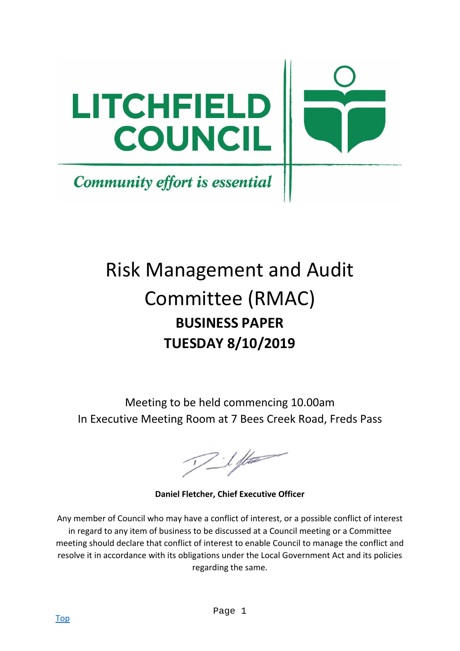

# Risk Management and Audit Committee (RMAC) **BUSINESS PAPER TUESDAY 8/10/2019**

Meeting to be held commencing 10.00am In Executive Meeting Room at 7 Bees Creek Road, Freds Pass

 $7$  1 ft

**Daniel Fletcher, Chief Executive Officer** 

Any member of Council who may have a conflict of interest, or a possible conflict of interest in regard to any item of business to be discussed at a Council meeting or a Committee meeting should declare that conflict of interest to enable Council to manage the conflict and resolve it in accordance with its obligations under the Local Government Act and its policies regarding the same.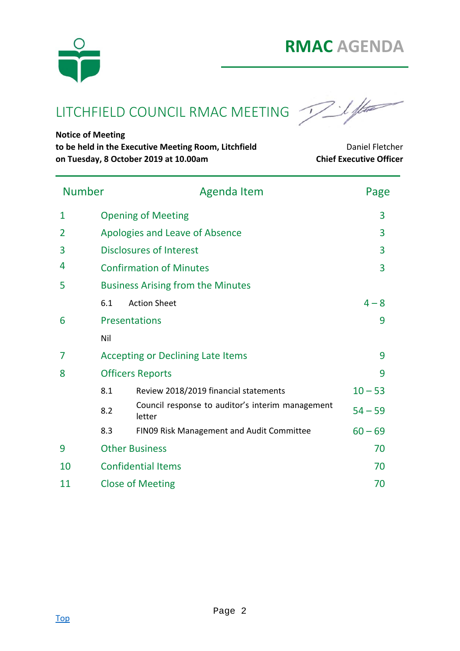

LITCHFIELD COUNCIL RMAC MEETING

**Notice of Meeting** 

to be held in the Executive Meeting Room, Litchfield **Daniel Fletcher** Daniel Fletcher **on Tuesday, 8 October 2019 at 10.00am Chief Executive Officer**

| <b>Number</b> |                           | <b>Agenda Item</b>                                         | Page           |  |  |  |  |  |
|---------------|---------------------------|------------------------------------------------------------|----------------|--|--|--|--|--|
| 1             |                           | <b>Opening of Meeting</b>                                  |                |  |  |  |  |  |
| 2             |                           | Apologies and Leave of Absence                             |                |  |  |  |  |  |
| 3             |                           | <b>Disclosures of Interest</b>                             | 3              |  |  |  |  |  |
| 4             |                           | <b>Confirmation of Minutes</b>                             | $\overline{3}$ |  |  |  |  |  |
| 5             |                           | <b>Business Arising from the Minutes</b>                   |                |  |  |  |  |  |
|               | 6.1                       | <b>Action Sheet</b>                                        | $4 - 8$        |  |  |  |  |  |
| 6             |                           | <b>Presentations</b>                                       |                |  |  |  |  |  |
|               | Nil                       |                                                            |                |  |  |  |  |  |
| 7             |                           | <b>Accepting or Declining Late Items</b><br>9              |                |  |  |  |  |  |
| 8             | <b>Officers Reports</b>   | 9                                                          |                |  |  |  |  |  |
|               | 8.1                       | Review 2018/2019 financial statements                      | $10 - 53$      |  |  |  |  |  |
|               | 8.2                       | Council response to auditor's interim management<br>letter | $54 - 59$      |  |  |  |  |  |
|               | 8.3                       | FIN09 Risk Management and Audit Committee                  | $60 - 69$      |  |  |  |  |  |
| 9             | <b>Other Business</b>     |                                                            |                |  |  |  |  |  |
| 10            | <b>Confidential Items</b> |                                                            |                |  |  |  |  |  |
| 11            | <b>Close of Meeting</b>   | 70                                                         |                |  |  |  |  |  |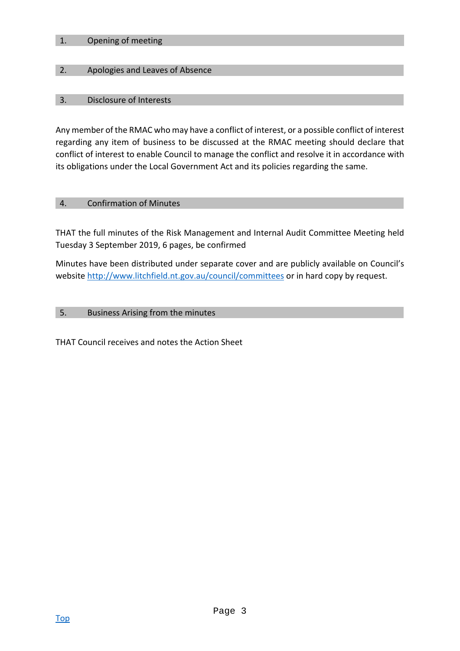#### 1. Opening of meeting

#### 2. Apologies and Leaves of Absence

#### 3. Disclosure of Interests

Any member of the RMAC who may have a conflict of interest, or a possible conflict of interest regarding any item of business to be discussed at the RMAC meeting should declare that conflict of interest to enable Council to manage the conflict and resolve it in accordance with its obligations under the Local Government Act and its policies regarding the same.

#### 4. Confirmation of Minutes

THAT the full minutes of the Risk Management and Internal Audit Committee Meeting held Tuesday 3 September 2019, 6 pages, be confirmed

Minutes have been distributed under separate cover and are publicly available on Council's website http://www.litchfield.nt.gov.au/council/committees or in hard copy by request.

#### 5. Business Arising from the minutes

THAT Council receives and notes the Action Sheet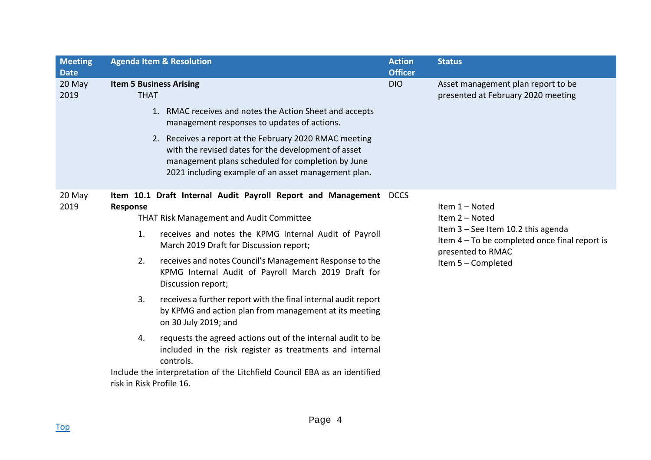| <b>Meeting</b><br><b>Date</b> | <b>Agenda Item &amp; Resolution</b>                                                                                                                                                                                       | <b>Action</b><br><b>Officer</b> | <b>Status</b>                                                                                            |  |
|-------------------------------|---------------------------------------------------------------------------------------------------------------------------------------------------------------------------------------------------------------------------|---------------------------------|----------------------------------------------------------------------------------------------------------|--|
| 20 May<br>2019                | <b>Item 5 Business Arising</b><br><b>THAT</b>                                                                                                                                                                             | <b>DIO</b>                      | Asset management plan report to be<br>presented at February 2020 meeting                                 |  |
|                               | 1. RMAC receives and notes the Action Sheet and accepts<br>management responses to updates of actions.                                                                                                                    |                                 |                                                                                                          |  |
|                               | 2. Receives a report at the February 2020 RMAC meeting<br>with the revised dates for the development of asset<br>management plans scheduled for completion by June<br>2021 including example of an asset management plan. |                                 |                                                                                                          |  |
| 20 May<br>2019                | Item 10.1 Draft Internal Audit Payroll Report and Management DCCS<br>Response<br><b>THAT Risk Management and Audit Committee</b>                                                                                          |                                 | Item 1 - Noted<br>Item 2 - Noted                                                                         |  |
|                               | 1.<br>receives and notes the KPMG Internal Audit of Payroll<br>March 2019 Draft for Discussion report;                                                                                                                    |                                 | Item 3 - See Item 10.2 this agenda<br>Item 4 – To be completed once final report is<br>presented to RMAC |  |
|                               | 2.<br>receives and notes Council's Management Response to the<br>KPMG Internal Audit of Payroll March 2019 Draft for<br>Discussion report;                                                                                |                                 | Item 5 - Completed                                                                                       |  |
|                               | 3.<br>receives a further report with the final internal audit report<br>by KPMG and action plan from management at its meeting<br>on 30 July 2019; and                                                                    |                                 |                                                                                                          |  |
|                               | requests the agreed actions out of the internal audit to be<br>4.<br>included in the risk register as treatments and internal<br>controls.                                                                                |                                 |                                                                                                          |  |
|                               | Include the interpretation of the Litchfield Council EBA as an identified<br>risk in Risk Profile 16.                                                                                                                     |                                 |                                                                                                          |  |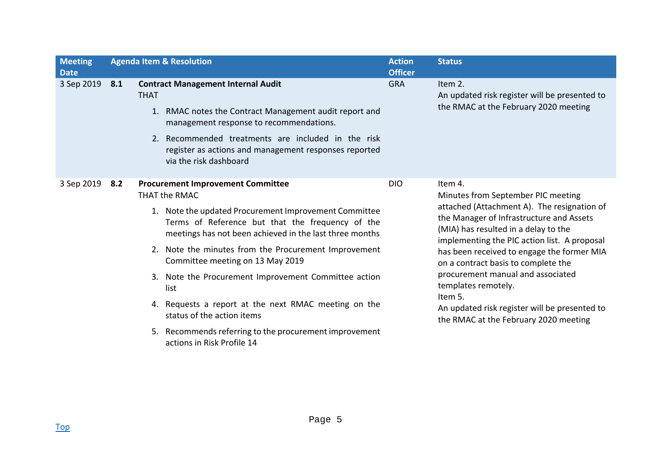| <b>Meeting</b><br><b>Date</b> | <b>Agenda Item &amp; Resolution</b> |                                                                                                                                                                                                                                                                                                                                                                                                                                                                                                                                                                             |            | <b>Status</b>                                                                                                                                                                                                                                                                                                                                                                                                                                                                          |
|-------------------------------|-------------------------------------|-----------------------------------------------------------------------------------------------------------------------------------------------------------------------------------------------------------------------------------------------------------------------------------------------------------------------------------------------------------------------------------------------------------------------------------------------------------------------------------------------------------------------------------------------------------------------------|------------|----------------------------------------------------------------------------------------------------------------------------------------------------------------------------------------------------------------------------------------------------------------------------------------------------------------------------------------------------------------------------------------------------------------------------------------------------------------------------------------|
| 3 Sep 2019                    | 8.1                                 | <b>Contract Management Internal Audit</b><br><b>THAT</b><br>1. RMAC notes the Contract Management audit report and<br>management response to recommendations.<br>2. Recommended treatments are included in the risk<br>register as actions and management responses reported<br>via the risk dashboard                                                                                                                                                                                                                                                                      | <b>GRA</b> | Item 2.<br>An updated risk register will be presented to<br>the RMAC at the February 2020 meeting                                                                                                                                                                                                                                                                                                                                                                                      |
| 3 Sep 2019                    | 8.2                                 | <b>Procurement Improvement Committee</b><br>THAT the RMAC<br>1. Note the updated Procurement Improvement Committee<br>Terms of Reference but that the frequency of the<br>meetings has not been achieved in the last three months<br>2. Note the minutes from the Procurement Improvement<br>Committee meeting on 13 May 2019<br>3. Note the Procurement Improvement Committee action<br>list<br>4. Requests a report at the next RMAC meeting on the<br>status of the action items<br>5. Recommends referring to the procurement improvement<br>actions in Risk Profile 14 | <b>DIO</b> | Item 4.<br>Minutes from September PIC meeting<br>attached (Attachment A). The resignation of<br>the Manager of Infrastructure and Assets<br>(MIA) has resulted in a delay to the<br>implementing the PIC action list. A proposal<br>has been received to engage the former MIA<br>on a contract basis to complete the<br>procurement manual and associated<br>templates remotely.<br>Item 5.<br>An updated risk register will be presented to<br>the RMAC at the February 2020 meeting |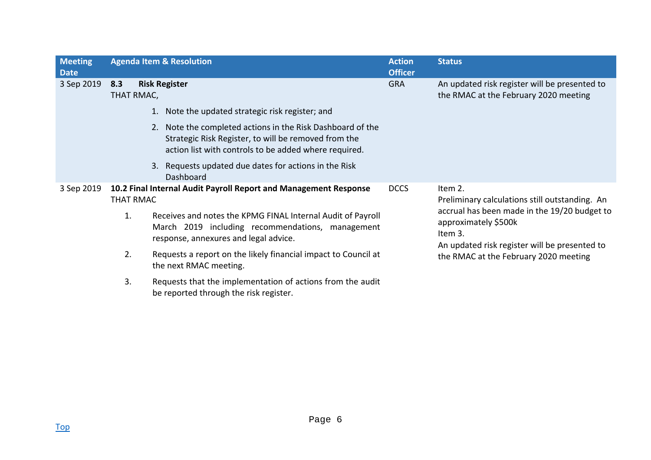| <b>Meeting</b><br><b>Date</b> |                                                                                      | <b>Agenda Item &amp; Resolution</b>                                                                                                                                         | <b>Action</b><br><b>Officer</b> | <b>Status</b>                                                                                                                    |
|-------------------------------|--------------------------------------------------------------------------------------|-----------------------------------------------------------------------------------------------------------------------------------------------------------------------------|---------------------------------|----------------------------------------------------------------------------------------------------------------------------------|
| 3 Sep 2019                    | 8.3<br>THAT RMAC,                                                                    | <b>Risk Register</b>                                                                                                                                                        | <b>GRA</b>                      | An updated risk register will be presented to<br>the RMAC at the February 2020 meeting                                           |
|                               |                                                                                      | 1. Note the updated strategic risk register; and                                                                                                                            |                                 |                                                                                                                                  |
|                               |                                                                                      | 2. Note the completed actions in the Risk Dashboard of the<br>Strategic Risk Register, to will be removed from the<br>action list with controls to be added where required. |                                 |                                                                                                                                  |
|                               |                                                                                      | Requests updated due dates for actions in the Risk<br>3.<br>Dashboard                                                                                                       |                                 |                                                                                                                                  |
| 3 Sep 2019                    | 10.2 Final Internal Audit Payroll Report and Management Response<br><b>THAT RMAC</b> |                                                                                                                                                                             | <b>DCCS</b>                     | Item 2.<br>Preliminary calculations still outstanding. An                                                                        |
|                               | 1.                                                                                   | Receives and notes the KPMG FINAL Internal Audit of Payroll<br>March 2019 including recommendations, management<br>response, annexures and legal advice.                    |                                 | accrual has been made in the 19/20 budget to<br>approximately \$500k<br>Item 3.<br>An updated risk register will be presented to |
|                               | 2.                                                                                   | Requests a report on the likely financial impact to Council at<br>the next RMAC meeting.                                                                                    |                                 | the RMAC at the February 2020 meeting                                                                                            |
|                               | 3.                                                                                   | Requests that the implementation of actions from the audit<br>be reported through the risk register.                                                                        |                                 |                                                                                                                                  |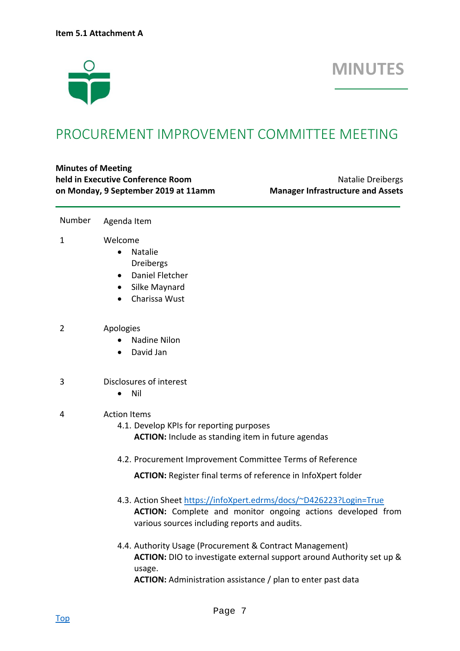

## **MINUTES**

## PROCUREMENT IMPROVEMENT COMMITTEE MEETING

#### **Minutes of Meeting held in Executive Conference Room 1988 1988 1988 1988 1988 1988 1988 1988 1988 1988 1988 1988 1988 1988 1988 1988 1988 1988 1988 1988 1988 1988 1988 1988 1988 1988 198 on Monday, 9 September 2019 at 11amm Manager Infrastructure and Assets**

- Number Agenda Item
- 1 Welcome

- Natalie Dreibergs
- Daniel Fletcher
- Silke Maynard
- Charissa Wust
- 2 Apologies
	- Nadine Nilon
	- David Jan
- 3 Disclosures of interest
	- Nil
- 4 Action Items
	- 4.1. Develop KPIs for reporting purposes **ACTION:** Include as standing item in future agendas
	- 4.2. Procurement Improvement Committee Terms of Reference

**ACTION:** Register final terms of reference in InfoXpert folder

- 4.3. Action Sheet https://infoXpert.edrms/docs/~D426223?Login=True **ACTION:** Complete and monitor ongoing actions developed from various sources including reports and audits.
- 4.4. Authority Usage (Procurement & Contract Management) **ACTION:** DIO to investigate external support around Authority set up & usage. **ACTION:** Administration assistance / plan to enter past data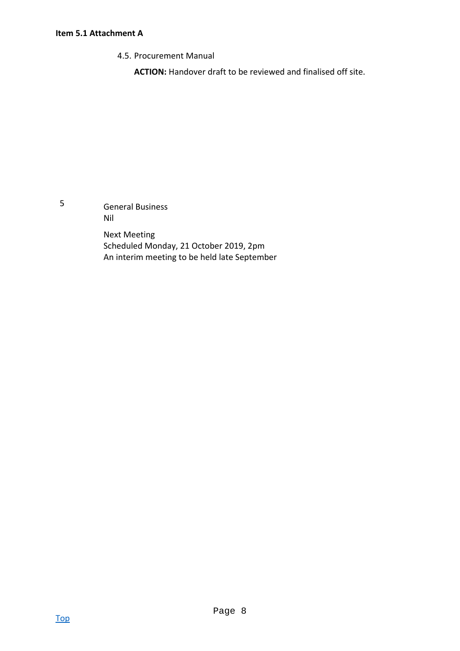#### **Item 5.1 Attachment A**

4.5. Procurement Manual

**ACTION:** Handover draft to be reviewed and finalised off site.

5 General Business Nil

> Next Meeting Scheduled Monday, 21 October 2019, 2pm An interim meeting to be held late September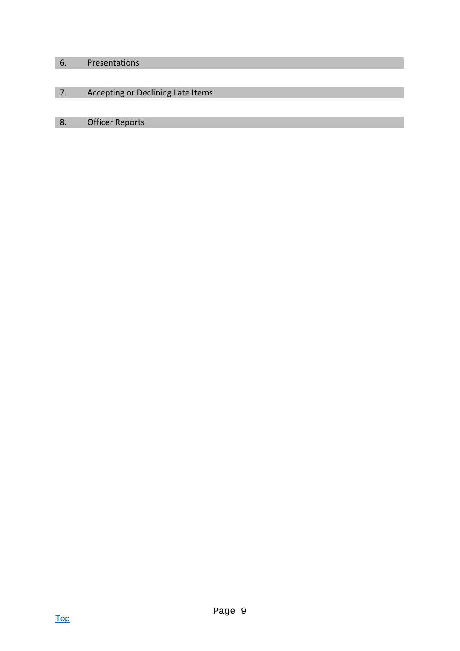#### 6. Presentations

### 7. Accepting or Declining Late Items

#### 8. Officer Reports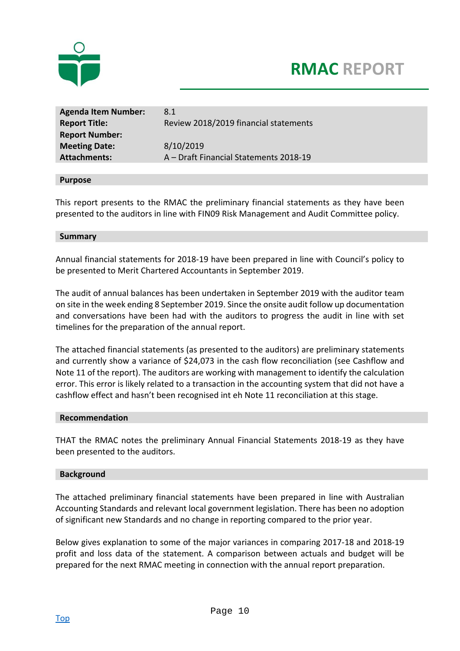



| <b>Agenda Item Number:</b> | 8.1                                    |
|----------------------------|----------------------------------------|
| <b>Report Title:</b>       | Review 2018/2019 financial statements  |
| <b>Report Number:</b>      |                                        |
| <b>Meeting Date:</b>       | 8/10/2019                              |
| <b>Attachments:</b>        | A - Draft Financial Statements 2018-19 |
|                            |                                        |

#### **Purpose**

This report presents to the RMAC the preliminary financial statements as they have been presented to the auditors in line with FIN09 Risk Management and Audit Committee policy.

#### **Summary**

Annual financial statements for 2018‐19 have been prepared in line with Council's policy to be presented to Merit Chartered Accountants in September 2019.

The audit of annual balances has been undertaken in September 2019 with the auditor team on site in the week ending 8 September 2019. Since the onsite audit follow up documentation and conversations have been had with the auditors to progress the audit in line with set timelines for the preparation of the annual report.

The attached financial statements (as presented to the auditors) are preliminary statements and currently show a variance of \$24,073 in the cash flow reconciliation (see Cashflow and Note 11 of the report). The auditors are working with management to identify the calculation error. This error is likely related to a transaction in the accounting system that did not have a cashflow effect and hasn't been recognised int eh Note 11 reconciliation at this stage.

#### **Recommendation**

THAT the RMAC notes the preliminary Annual Financial Statements 2018-19 as they have been presented to the auditors.

#### **Background**

The attached preliminary financial statements have been prepared in line with Australian Accounting Standards and relevant local government legislation. There has been no adoption of significant new Standards and no change in reporting compared to the prior year.

Below gives explanation to some of the major variances in comparing 2017‐18 and 2018‐19 profit and loss data of the statement. A comparison between actuals and budget will be prepared for the next RMAC meeting in connection with the annual report preparation.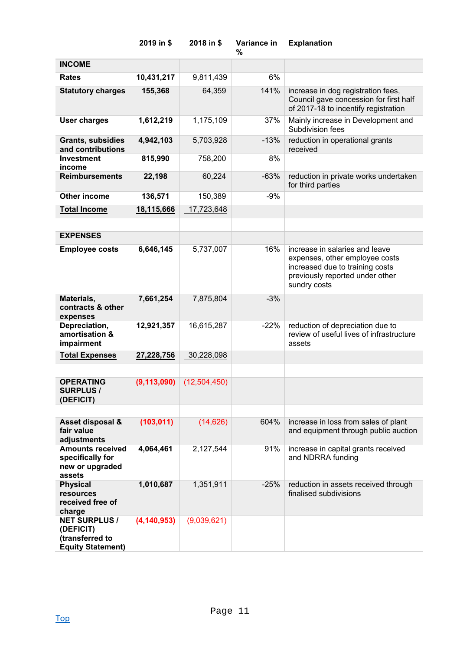|                                                                                  | 2019 in \$    | 2018 in \$   | Variance in<br>% | <b>Explanation</b>                                                                                                                                     |
|----------------------------------------------------------------------------------|---------------|--------------|------------------|--------------------------------------------------------------------------------------------------------------------------------------------------------|
| <b>INCOME</b>                                                                    |               |              |                  |                                                                                                                                                        |
| <b>Rates</b>                                                                     | 10,431,217    | 9,811,439    | 6%               |                                                                                                                                                        |
| <b>Statutory charges</b>                                                         | 155,368       | 64,359       | 141%             | increase in dog registration fees,<br>Council gave concession for first half<br>of 2017-18 to incentify registration                                   |
| <b>User charges</b>                                                              | 1,612,219     | 1,175,109    | 37%              | Mainly increase in Development and<br>Subdivision fees                                                                                                 |
| <b>Grants, subsidies</b><br>and contributions                                    | 4,942,103     | 5,703,928    | $-13%$           | reduction in operational grants<br>received                                                                                                            |
| Investment<br>income                                                             | 815,990       | 758,200      | 8%               |                                                                                                                                                        |
| <b>Reimbursements</b>                                                            | 22,198        | 60,224       | $-63%$           | reduction in private works undertaken<br>for third parties                                                                                             |
| <b>Other income</b>                                                              | 136,571       | 150,389      | $-9%$            |                                                                                                                                                        |
| <b>Total Income</b>                                                              | 18,115,666    | 17,723,648   |                  |                                                                                                                                                        |
|                                                                                  |               |              |                  |                                                                                                                                                        |
| <b>EXPENSES</b>                                                                  |               |              |                  |                                                                                                                                                        |
| <b>Employee costs</b>                                                            | 6,646,145     | 5,737,007    | 16%              | increase in salaries and leave<br>expenses, other employee costs<br>increased due to training costs<br>previously reported under other<br>sundry costs |
| Materials,<br>contracts & other<br>expenses                                      | 7,661,254     | 7,875,804    | $-3%$            |                                                                                                                                                        |
| Depreciation,<br>amortisation &<br>impairment                                    | 12,921,357    | 16,615,287   | $-22%$           | reduction of depreciation due to<br>review of useful lives of infrastructure<br>assets                                                                 |
| <b>Total Expenses</b>                                                            | 27,228,756    | 30,228,098   |                  |                                                                                                                                                        |
|                                                                                  |               |              |                  |                                                                                                                                                        |
| <b>OPERATING</b><br><b>SURPLUS /</b><br>(DEFICIT)                                | (9, 113, 090) | (12,504,450) |                  |                                                                                                                                                        |
|                                                                                  |               |              |                  |                                                                                                                                                        |
| Asset disposal &<br>fair value<br>adjustments                                    | (103, 011)    | (14, 626)    | 604%             | increase in loss from sales of plant<br>and equipment through public auction                                                                           |
| <b>Amounts received</b><br>specifically for<br>new or upgraded<br>assets         | 4,064,461     | 2,127,544    | 91%              | increase in capital grants received<br>and NDRRA funding                                                                                               |
| <b>Physical</b><br>resources<br>received free of<br>charge                       | 1,010,687     | 1,351,911    | $-25%$           | reduction in assets received through<br>finalised subdivisions                                                                                         |
| <b>NET SURPLUS /</b><br>(DEFICIT)<br>(transferred to<br><b>Equity Statement)</b> | (4, 140, 953) | (9,039,621)  |                  |                                                                                                                                                        |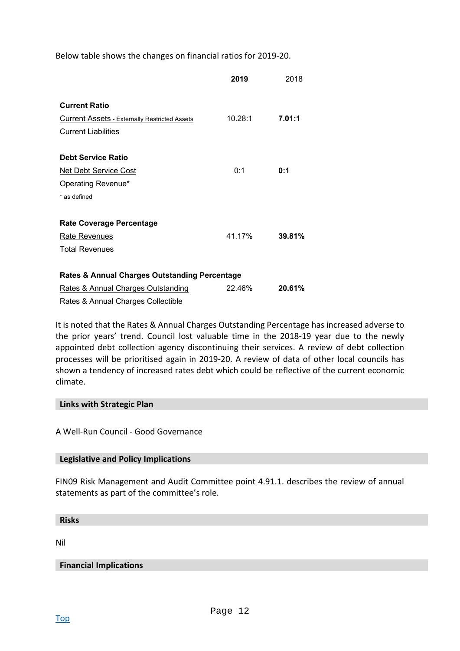Below table shows the changes on financial ratios for 2019‐20.

|                                                          | 2019    | 2018   |
|----------------------------------------------------------|---------|--------|
| <b>Current Ratio</b>                                     |         |        |
| <b>Current Assets - Externally Restricted Assets</b>     | 10.28:1 | 7.01:1 |
| <b>Current Liabilities</b>                               |         |        |
| <b>Debt Service Ratio</b>                                |         |        |
| <b>Net Debt Service Cost</b>                             | 0:1     | 0:1    |
| Operating Revenue*                                       |         |        |
| * as defined                                             |         |        |
| <b>Rate Coverage Percentage</b>                          |         |        |
| Rate Revenues                                            | 41.17%  | 39.81% |
| <b>Total Revenues</b>                                    |         |        |
| <b>Rates &amp; Annual Charges Outstanding Percentage</b> |         |        |
| Rates & Annual Charges Outstanding                       | 22.46%  | 20.61% |
| — <u>AARA</u>                                            |         |        |

Rates & Annual Charges Collectible

It is noted that the Rates & Annual Charges Outstanding Percentage has increased adverse to the prior years' trend. Council lost valuable time in the 2018-19 year due to the newly appointed debt collection agency discontinuing their services. A review of debt collection processes will be prioritised again in 2019‐20. A review of data of other local councils has shown a tendency of increased rates debt which could be reflective of the current economic climate.

#### **Links with Strategic Plan**

A Well‐Run Council ‐ Good Governance

#### **Legislative and Policy Implications**

FIN09 Risk Management and Audit Committee point 4.91.1. describes the review of annual statements as part of the committee's role.

**Risks** 

Nil

#### **Financial Implications**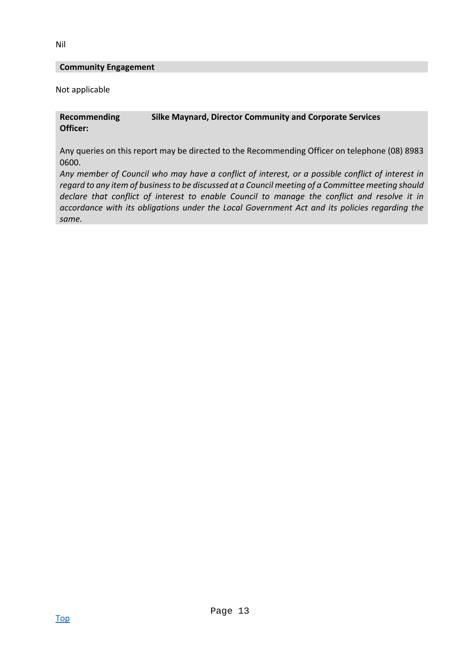#### **Community Engagement**

Not applicable

#### **Recommending Officer: Silke Maynard, Director Community and Corporate Services**

Any queries on this report may be directed to the Recommending Officer on telephone (08) 8983 0600.

*Any member of Council who may have a conflict of interest, or a possible conflict of interest in regard to any item of business to be discussed at a Council meeting of a Committee meeting should declare that conflict of interest to enable Council to manage the conflict and resolve it in accordance with its obligations under the Local Government Act and its policies regarding the same.*

Nil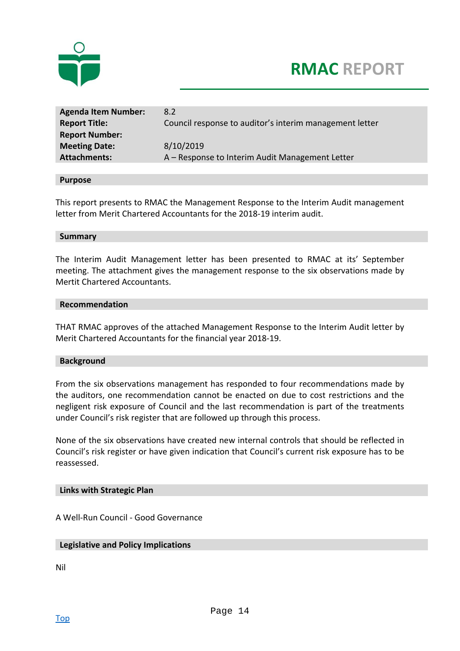



| <b>Agenda Item Number:</b><br><b>Report Title:</b><br><b>Report Number:</b> | 8.2<br>Council response to auditor's interim management letter |
|-----------------------------------------------------------------------------|----------------------------------------------------------------|
| <b>Meeting Date:</b>                                                        | 8/10/2019                                                      |
| <b>Attachments:</b>                                                         | A - Response to Interim Audit Management Letter                |

#### **Purpose**

This report presents to RMAC the Management Response to the Interim Audit management letter from Merit Chartered Accountants for the 2018‐19 interim audit.

#### **Summary**

The Interim Audit Management letter has been presented to RMAC at its' September meeting. The attachment gives the management response to the six observations made by Mertit Chartered Accountants.

#### **Recommendation**

THAT RMAC approves of the attached Management Response to the Interim Audit letter by Merit Chartered Accountants for the financial year 2018‐19.

#### **Background**

From the six observations management has responded to four recommendations made by the auditors, one recommendation cannot be enacted on due to cost restrictions and the negligent risk exposure of Council and the last recommendation is part of the treatments under Council's risk register that are followed up through this process.

None of the six observations have created new internal controls that should be reflected in Council's risk register or have given indication that Council's current risk exposure has to be reassessed.

#### **Links with Strategic Plan**

A Well‐Run Council ‐ Good Governance

#### **Legislative and Policy Implications**

Nil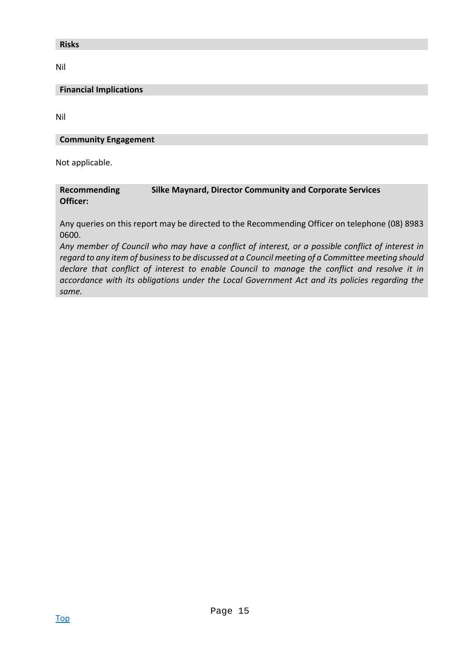#### **Risks**

Nil

#### **Financial Implications**

Nil

#### **Community Engagement**

Not applicable.

#### **Recommending Officer: Silke Maynard, Director Community and Corporate Services**

Any queries on this report may be directed to the Recommending Officer on telephone (08) 8983 0600.

*Any member of Council who may have a conflict of interest, or a possible conflict of interest in regard to any item of business to be discussed at a Council meeting of a Committee meeting should declare that conflict of interest to enable Council to manage the conflict and resolve it in accordance with its obligations under the Local Government Act and its policies regarding the same.*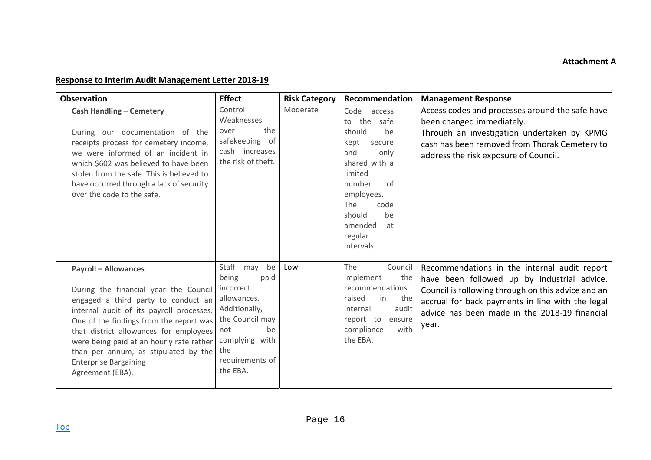#### **Response to Interim Audit Management Letter 2018‐19**

| <b>Observation</b>                                                                                                                                                                                                                                                                                                                                                                   | <b>Effect</b>                                                                                                                                                         | <b>Risk Category</b> | Recommendation                                                                                                                                                                                                    | <b>Management Response</b>                                                                                                                                                                                                                                      |
|--------------------------------------------------------------------------------------------------------------------------------------------------------------------------------------------------------------------------------------------------------------------------------------------------------------------------------------------------------------------------------------|-----------------------------------------------------------------------------------------------------------------------------------------------------------------------|----------------------|-------------------------------------------------------------------------------------------------------------------------------------------------------------------------------------------------------------------|-----------------------------------------------------------------------------------------------------------------------------------------------------------------------------------------------------------------------------------------------------------------|
| <b>Cash Handling - Cemetery</b><br>During our documentation of the<br>receipts process for cemetery income,<br>we were informed of an incident in<br>which \$602 was believed to have been<br>stolen from the safe. This is believed to<br>have occurred through a lack of security<br>over the code to the safe.                                                                    | Control<br>Weaknesses<br>the<br>over<br>safekeeping of<br>cash increases<br>the risk of theft.                                                                        | Moderate             | Code access<br>to the<br>safe<br>should<br>be<br>kept<br>secure<br>and<br>only<br>shared with a<br>limited<br>number<br>of<br>employees.<br>The<br>code<br>should<br>be<br>amended<br>at<br>regular<br>intervals. | Access codes and processes around the safe have<br>been changed immediately.<br>Through an investigation undertaken by KPMG<br>cash has been removed from Thorak Cemetery to<br>address the risk exposure of Council.                                           |
| <b>Payroll - Allowances</b><br>During the financial year the Council<br>engaged a third party to conduct an<br>internal audit of its payroll processes.<br>One of the findings from the report was<br>that district allowances for employees<br>were being paid at an hourly rate rather<br>than per annum, as stipulated by the<br><b>Enterprise Bargaining</b><br>Agreement (EBA). | Staff may<br>be<br>being<br>paid<br>incorrect<br>allowances.<br>Additionally,<br>the Council may<br>be<br>not<br>complying with<br>the<br>requirements of<br>the EBA. | Low                  | The<br>Council<br>implement<br>the<br>recommendations<br>raised<br>the<br>in<br>audit<br>internal<br>report to<br>ensure<br>compliance<br>with<br>the EBA.                                                        | Recommendations in the internal audit report<br>have been followed up by industrial advice.<br>Council is following through on this advice and an<br>accrual for back payments in line with the legal<br>advice has been made in the 2018-19 financial<br>year. |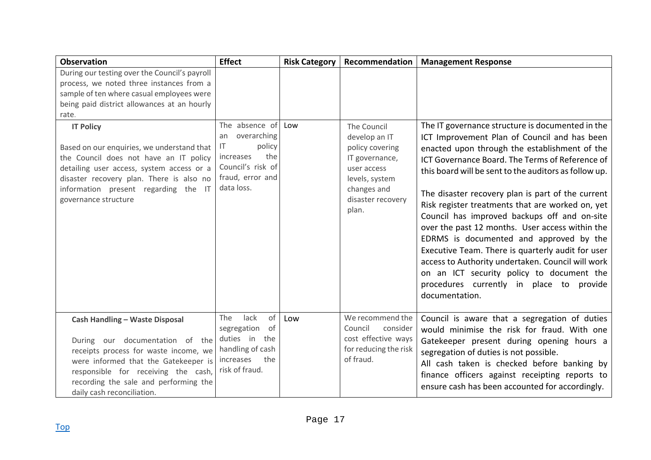| <b>Observation</b>                                                                                                                                                                                                                                                                                                                                                                                                                                                  | <b>Effect</b>                                                                                                                  | <b>Risk Category</b> | Recommendation                                                                                                                                  | <b>Management Response</b>                                                                                                                                                                                                                                                                                                                                                                                                                                                                                                                                                                                                                                                                                                                |
|---------------------------------------------------------------------------------------------------------------------------------------------------------------------------------------------------------------------------------------------------------------------------------------------------------------------------------------------------------------------------------------------------------------------------------------------------------------------|--------------------------------------------------------------------------------------------------------------------------------|----------------------|-------------------------------------------------------------------------------------------------------------------------------------------------|-------------------------------------------------------------------------------------------------------------------------------------------------------------------------------------------------------------------------------------------------------------------------------------------------------------------------------------------------------------------------------------------------------------------------------------------------------------------------------------------------------------------------------------------------------------------------------------------------------------------------------------------------------------------------------------------------------------------------------------------|
| During our testing over the Council's payroll<br>process, we noted three instances from a<br>sample of ten where casual employees were<br>being paid district allowances at an hourly<br>rate.<br><b>IT Policy</b><br>Based on our enquiries, we understand that<br>the Council does not have an IT policy<br>detailing user access, system access or a<br>disaster recovery plan. There is also no<br>information present regarding the IT<br>governance structure | The absence of<br>overarching<br>an<br>policy<br>IT<br>the<br>increases<br>Council's risk of<br>fraud, error and<br>data loss. | Low                  | The Council<br>develop an IT<br>policy covering<br>IT governance,<br>user access<br>levels, system<br>changes and<br>disaster recovery<br>plan. | The IT governance structure is documented in the<br>ICT Improvement Plan of Council and has been<br>enacted upon through the establishment of the<br>ICT Governance Board. The Terms of Reference of<br>this board will be sent to the auditors as follow up.<br>The disaster recovery plan is part of the current<br>Risk register treatments that are worked on, yet<br>Council has improved backups off and on-site<br>over the past 12 months. User access within the<br>EDRMS is documented and approved by the<br>Executive Team. There is quarterly audit for user<br>access to Authority undertaken. Council will work<br>on an ICT security policy to document the<br>procedures currently in place to provide<br>documentation. |
| <b>Cash Handling - Waste Disposal</b><br>During our documentation of the<br>receipts process for waste income, we<br>were informed that the Gatekeeper is<br>responsible for receiving the cash,<br>recording the sale and performing the<br>daily cash reconciliation.                                                                                                                                                                                             | lack<br>of<br>The<br>segregation of<br>duties in<br>the<br>handling of cash<br>the<br>increases<br>risk of fraud.              | Low                  | We recommend the<br>Council<br>consider<br>cost effective ways<br>for reducing the risk<br>of fraud.                                            | Council is aware that a segregation of duties<br>would minimise the risk for fraud. With one<br>Gatekeeper present during opening hours a<br>segregation of duties is not possible.<br>All cash taken is checked before banking by<br>finance officers against receipting reports to<br>ensure cash has been accounted for accordingly.                                                                                                                                                                                                                                                                                                                                                                                                   |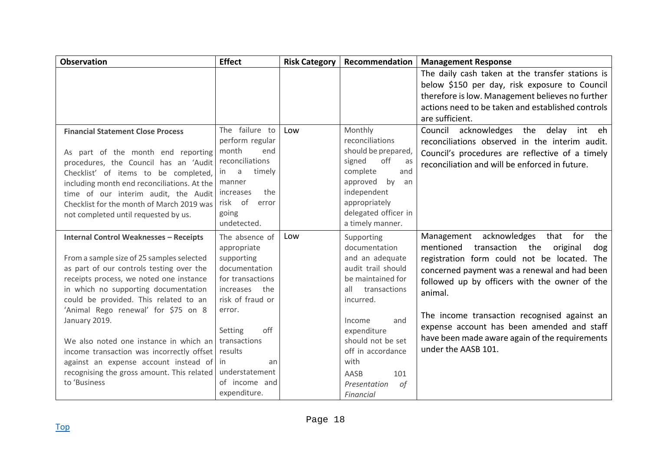| <b>Observation</b>                            | <b>Effect</b>     | <b>Risk Category</b> | Recommendation       | <b>Management Response</b>                           |
|-----------------------------------------------|-------------------|----------------------|----------------------|------------------------------------------------------|
|                                               |                   |                      |                      | The daily cash taken at the transfer stations is     |
|                                               |                   |                      |                      | below \$150 per day, risk exposure to Council        |
|                                               |                   |                      |                      | therefore is low. Management believes no further     |
|                                               |                   |                      |                      | actions need to be taken and established controls    |
|                                               |                   |                      |                      | are sufficient.                                      |
| <b>Financial Statement Close Process</b>      | The failure to    | Low                  | Monthly              | Council<br>acknowledges<br>delay<br>eh<br>the<br>int |
|                                               | perform regular   |                      | reconciliations      | reconciliations observed in the interim audit.       |
| As part of the month end reporting            | month<br>end      |                      | should be prepared,  | Council's procedures are reflective of a timely      |
| procedures, the Council has an 'Audit         | reconciliations   |                      | off<br>signed<br>as  | reconciliation and will be enforced in future.       |
| Checklist' of items to be completed,          | a<br>timely<br>in |                      | complete<br>and      |                                                      |
| including month end reconciliations. At the   | manner            |                      | by<br>approved<br>an |                                                      |
| time of our interim audit, the Audit          | the<br>increases  |                      | independent          |                                                      |
| Checklist for the month of March 2019 was     | risk of<br>error  |                      | appropriately        |                                                      |
| not completed until requested by us.          | going             |                      | delegated officer in |                                                      |
|                                               | undetected.       |                      | a timely manner.     |                                                      |
| <b>Internal Control Weaknesses - Receipts</b> | The absence of    | Low                  | Supporting           | Management acknowledges<br>that for<br>the           |
|                                               | appropriate       |                      | documentation        | mentioned<br>transaction the<br>original<br>dog      |
| From a sample size of 25 samples selected     | supporting        |                      | and an adequate      | registration form could not be located. The          |
| as part of our controls testing over the      | documentation     |                      | audit trail should   | concerned payment was a renewal and had been         |
| receipts process, we noted one instance       | for transactions  |                      | be maintained for    | followed up by officers with the owner of the        |
| in which no supporting documentation          | the<br>increases  |                      | transactions<br>all  | animal.                                              |
| could be provided. This related to an         | risk of fraud or  |                      | incurred.            |                                                      |
| 'Animal Rego renewal' for \$75 on 8           | error.            |                      |                      | The income transaction recognised against an         |
| January 2019.                                 |                   |                      | and<br>Income        | expense account has been amended and staff           |
|                                               | off<br>Setting    |                      | expenditure          | have been made aware again of the requirements       |
| We also noted one instance in which an        | transactions      |                      | should not be set    | under the AASB 101.                                  |
| income transaction was incorrectly offset     | results           |                      | off in accordance    |                                                      |
| against an expense account instead of         | in<br>an          |                      | with                 |                                                      |
| recognising the gross amount. This related    | understatement    |                      | AASB<br>101          |                                                      |
| to 'Business                                  | of income and     |                      | Presentation<br>οf   |                                                      |
|                                               | expenditure.      |                      | Financial            |                                                      |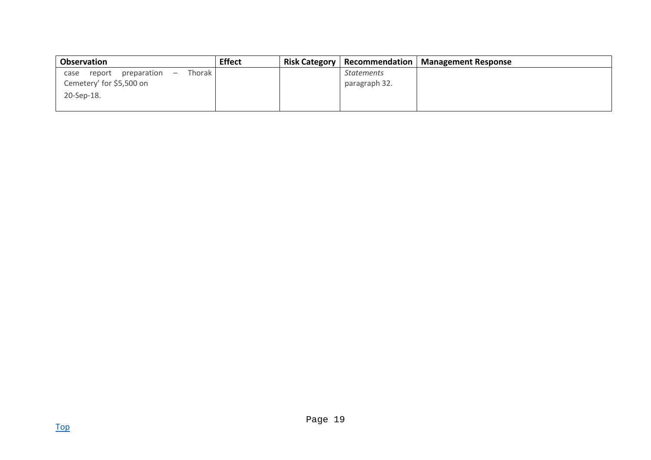| <b>Observation</b>                                                    | <b>Effect</b> | <b>Risk Category</b> | Recommendation    | Management Response |
|-----------------------------------------------------------------------|---------------|----------------------|-------------------|---------------------|
| Thorak l<br>preparation<br>report<br>case<br>$\overline{\phantom{0}}$ |               |                      | <b>Statements</b> |                     |
| Cemetery' for \$5,500 on                                              |               |                      | paragraph 32.     |                     |
| 20-Sep-18.                                                            |               |                      |                   |                     |
|                                                                       |               |                      |                   |                     |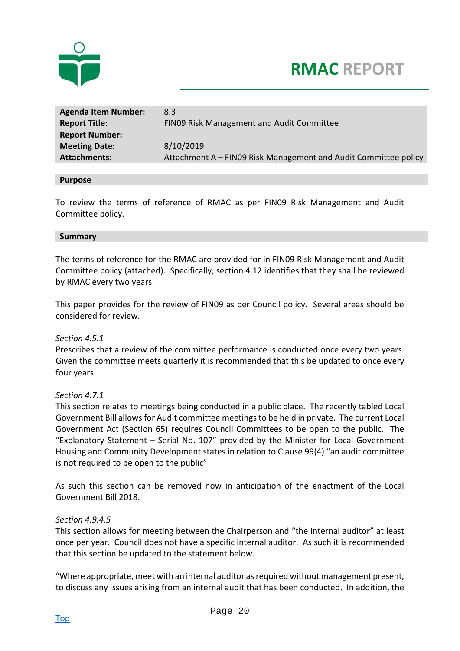

| 8.3                                                             |
|-----------------------------------------------------------------|
| FINO9 Risk Management and Audit Committee                       |
|                                                                 |
| 8/10/2019                                                       |
| Attachment A - FIN09 Risk Management and Audit Committee policy |
|                                                                 |

#### **Purpose**

To review the terms of reference of RMAC as per FIN09 Risk Management and Audit Committee policy.

#### **Summary**

The terms of reference for the RMAC are provided for in FIN09 Risk Management and Audit Committee policy (attached). Specifically, section 4.12 identifies that they shall be reviewed by RMAC every two years.

This paper provides for the review of FIN09 as per Council policy. Several areas should be considered for review.

#### *Section 4.5.1*

Prescribes that a review of the committee performance is conducted once every two years. Given the committee meets quarterly it is recommended that this be updated to once every four years.

#### *Section 4.7.1*

This section relates to meetings being conducted in a public place. The recently tabled Local Government Bill allows for Audit committee meetings to be held in private. The current Local Government Act (Section 65) requires Council Committees to be open to the public. The "Explanatory Statement – Serial No. 107" provided by the Minister for Local Government Housing and Community Development states in relation to Clause 99(4) "an audit committee is not required to be open to the public"

As such this section can be removed now in anticipation of the enactment of the Local Government Bill 2018.

#### *Section 4.9.4.5*

This section allows for meeting between the Chairperson and "the internal auditor" at least once per year. Council does not have a specific internal auditor. As such it is recommended that this section be updated to the statement below.

"Where appropriate, meet with an internal auditor as required without management present, to discuss any issues arising from an internal audit that has been conducted. In addition, the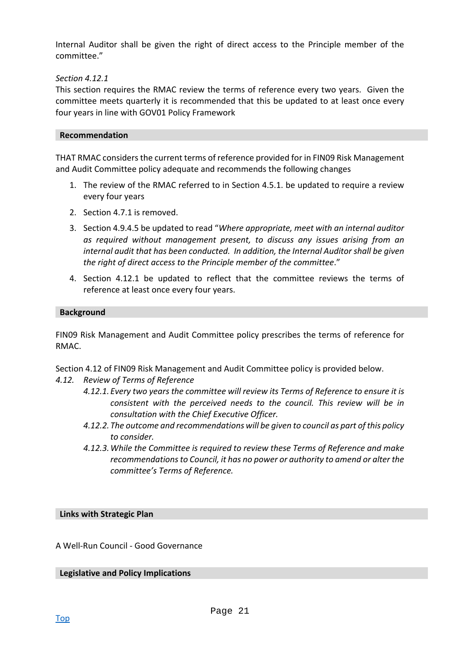Internal Auditor shall be given the right of direct access to the Principle member of the committee."

#### *Section 4.12.1*

This section requires the RMAC review the terms of reference every two years. Given the committee meets quarterly it is recommended that this be updated to at least once every four years in line with GOV01 Policy Framework

#### **Recommendation**

THAT RMAC considers the current terms of reference provided for in FIN09 Risk Management and Audit Committee policy adequate and recommends the following changes

- 1. The review of the RMAC referred to in Section 4.5.1. be updated to require a review every four years
- 2. Section 4.7.1 is removed.
- 3. Section 4.9.4.5 be updated to read "*Where appropriate, meet with an internal auditor as required without management present, to discuss any issues arising from an internal audit that has been conducted. In addition, the Internal Auditor shall be given the right of direct access to the Principle member of the committee*."
- 4. Section 4.12.1 be updated to reflect that the committee reviews the terms of reference at least once every four years.

#### **Background**

FIN09 Risk Management and Audit Committee policy prescribes the terms of reference for RMAC.

Section 4.12 of FIN09 Risk Management and Audit Committee policy is provided below.

- *4.12. Review of Terms of Reference* 
	- *4.12.1. Every two years the committee will review its Terms of Reference to ensure it is consistent with the perceived needs to the council. This review will be in consultation with the Chief Executive Officer.*
	- *4.12.2. The outcome and recommendations will be given to council as part of this policy to consider.*
	- *4.12.3. While the Committee is required to review these Terms of Reference and make recommendations to Council, it has no power or authority to amend or alter the committee's Terms of Reference.*

**Links with Strategic Plan** 

A Well‐Run Council ‐ Good Governance

**Legislative and Policy Implications**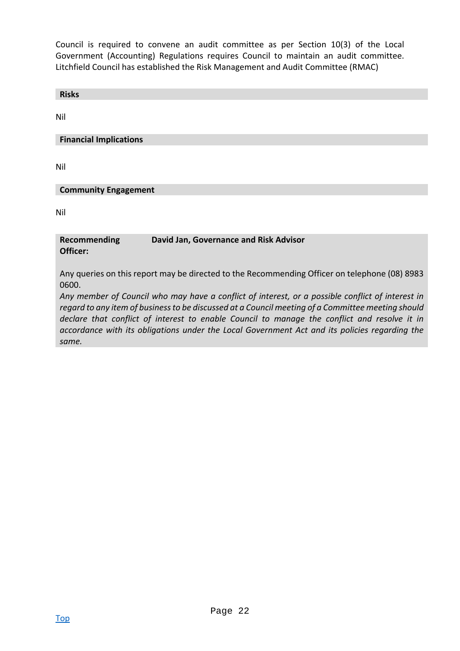Council is required to convene an audit committee as per Section 10(3) of the Local Government (Accounting) Regulations requires Council to maintain an audit committee. Litchfield Council has established the Risk Management and Audit Committee (RMAC)

| <b>Risks</b>                                                                                           |
|--------------------------------------------------------------------------------------------------------|
| Nil                                                                                                    |
| <b>Financial Implications</b>                                                                          |
|                                                                                                        |
| Nil                                                                                                    |
| <b>Community Engagement</b>                                                                            |
| Nil                                                                                                    |
|                                                                                                        |
| David Jan, Governance and Risk Advisor<br>Recommending<br>Officer:                                     |
| Any queries on this report may be directed to the Recommending Officer on telephone (08) 8983<br>0600. |

*Any member of Council who may have a conflict of interest, or a possible conflict of interest in regard to any item of business to be discussed at a Council meeting of a Committee meeting should declare that conflict of interest to enable Council to manage the conflict and resolve it in accordance with its obligations under the Local Government Act and its policies regarding the same.*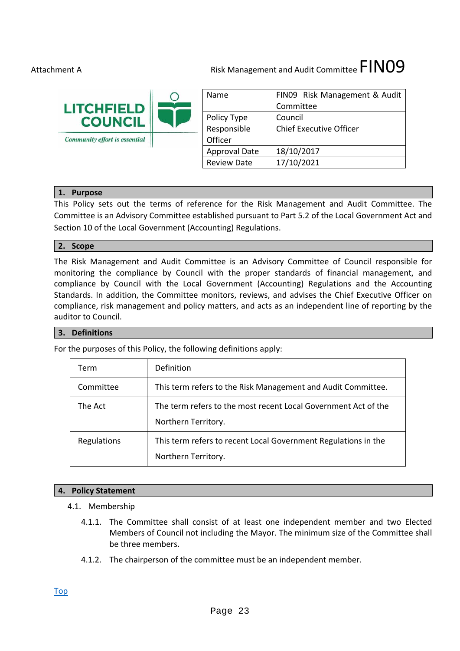# Risk Management and Audit Committee  $\tt{FINO9}$

| <b>LITCHFIELD</b>             | Name                 | FIN09 Risk Management & Audit<br>Committee |
|-------------------------------|----------------------|--------------------------------------------|
| <b>COUNCIL</b>                | Policy Type          | Council                                    |
|                               | Responsible          | <b>Chief Executive Officer</b>             |
| Community effort is essential | Officer              |                                            |
|                               | <b>Approval Date</b> | 18/10/2017                                 |
|                               | <b>Review Date</b>   | 17/10/2021                                 |

#### **1. Purpose**

This Policy sets out the terms of reference for the Risk Management and Audit Committee. The Committee is an Advisory Committee established pursuant to Part 5.2 of the Local Government Act and Section 10 of the Local Government (Accounting) Regulations.

#### **2. Scope**

The Risk Management and Audit Committee is an Advisory Committee of Council responsible for monitoring the compliance by Council with the proper standards of financial management, and compliance by Council with the Local Government (Accounting) Regulations and the Accounting Standards. In addition, the Committee monitors, reviews, and advises the Chief Executive Officer on compliance, risk management and policy matters, and acts as an independent line of reporting by the auditor to Council.

#### **3. Definitions**

For the purposes of this Policy, the following definitions apply:

| Term        | Definition                                                                            |
|-------------|---------------------------------------------------------------------------------------|
| Committee   | This term refers to the Risk Management and Audit Committee.                          |
| The Act     | The term refers to the most recent Local Government Act of the<br>Northern Territory. |
| Regulations | This term refers to recent Local Government Regulations in the<br>Northern Territory. |

#### **4. Policy Statement**

- 4.1. Membership
	- 4.1.1. The Committee shall consist of at least one independent member and two Elected Members of Council not including the Mayor. The minimum size of the Committee shall be three members.
	- 4.1.2. The chairperson of the committee must be an independent member.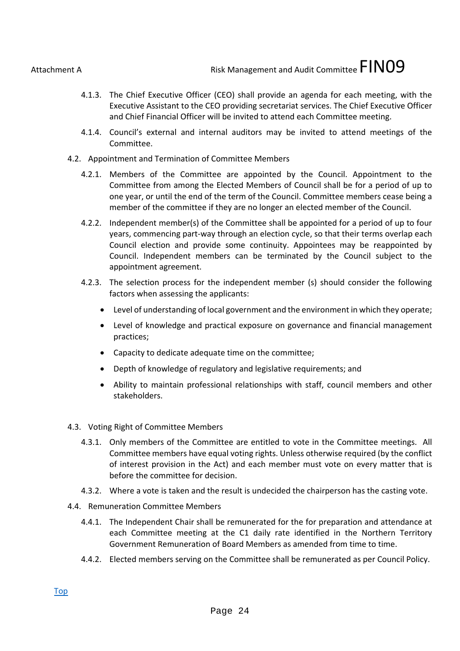Risk Management and Audit Committee  $\tt{FINO9}$ 

- 4.1.3. The Chief Executive Officer (CEO) shall provide an agenda for each meeting, with the Executive Assistant to the CEO providing secretariat services. The Chief Executive Officer and Chief Financial Officer will be invited to attend each Committee meeting.
- 4.1.4. Council's external and internal auditors may be invited to attend meetings of the Committee.
- 4.2. Appointment and Termination of Committee Members
	- 4.2.1. Members of the Committee are appointed by the Council. Appointment to the Committee from among the Elected Members of Council shall be for a period of up to one year, or until the end of the term of the Council. Committee members cease being a member of the committee if they are no longer an elected member of the Council.
	- 4.2.2. Independent member(s) of the Committee shall be appointed for a period of up to four years, commencing part‐way through an election cycle, so that their terms overlap each Council election and provide some continuity. Appointees may be reappointed by Council. Independent members can be terminated by the Council subject to the appointment agreement.
	- 4.2.3. The selection process for the independent member (s) should consider the following factors when assessing the applicants:
		- Level of understanding of local government and the environment in which they operate;
		- Level of knowledge and practical exposure on governance and financial management practices;
		- Capacity to dedicate adequate time on the committee;
		- Depth of knowledge of regulatory and legislative requirements; and
		- Ability to maintain professional relationships with staff, council members and other stakeholders.
- 4.3. Voting Right of Committee Members
	- 4.3.1. Only members of the Committee are entitled to vote in the Committee meetings. All Committee members have equal voting rights. Unless otherwise required (by the conflict of interest provision in the Act) and each member must vote on every matter that is before the committee for decision.
	- 4.3.2. Where a vote is taken and the result is undecided the chairperson has the casting vote.
- 4.4. Remuneration Committee Members
	- 4.4.1. The Independent Chair shall be remunerated for the for preparation and attendance at each Committee meeting at the C1 daily rate identified in the Northern Territory Government Remuneration of Board Members as amended from time to time.
	- 4.4.2. Elected members serving on the Committee shall be remunerated as per Council Policy.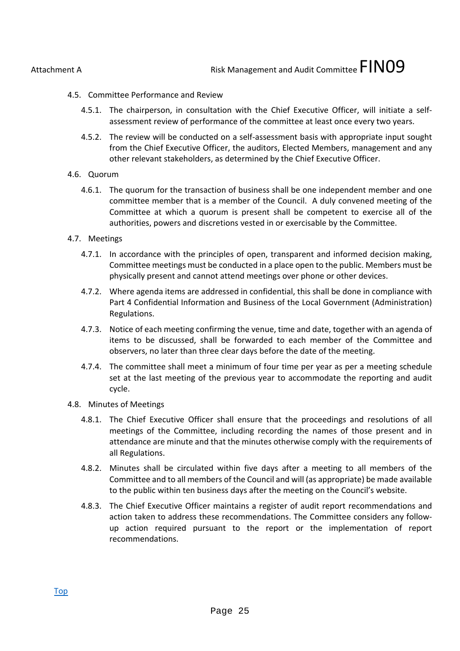Risk Management and Audit Committee  $\tt{FINO9}$ 

- 4.5. Committee Performance and Review
	- 4.5.1. The chairperson, in consultation with the Chief Executive Officer, will initiate a self‐ assessment review of performance of the committee at least once every two years.
	- 4.5.2. The review will be conducted on a self‐assessment basis with appropriate input sought from the Chief Executive Officer, the auditors, Elected Members, management and any other relevant stakeholders, as determined by the Chief Executive Officer.
- 4.6. Quorum
	- 4.6.1. The quorum for the transaction of business shall be one independent member and one committee member that is a member of the Council. A duly convened meeting of the Committee at which a quorum is present shall be competent to exercise all of the authorities, powers and discretions vested in or exercisable by the Committee.
- 4.7. Meetings
	- 4.7.1. In accordance with the principles of open, transparent and informed decision making, Committee meetings must be conducted in a place open to the public. Members must be physically present and cannot attend meetings over phone or other devices.
	- 4.7.2. Where agenda items are addressed in confidential, this shall be done in compliance with Part 4 Confidential Information and Business of the Local Government (Administration) Regulations.
	- 4.7.3. Notice of each meeting confirming the venue, time and date, together with an agenda of items to be discussed, shall be forwarded to each member of the Committee and observers, no later than three clear days before the date of the meeting.
	- 4.7.4. The committee shall meet a minimum of four time per year as per a meeting schedule set at the last meeting of the previous year to accommodate the reporting and audit cycle.
- 4.8. Minutes of Meetings
	- 4.8.1. The Chief Executive Officer shall ensure that the proceedings and resolutions of all meetings of the Committee, including recording the names of those present and in attendance are minute and that the minutes otherwise comply with the requirements of all Regulations.
	- 4.8.2. Minutes shall be circulated within five days after a meeting to all members of the Committee and to all members of the Council and will (as appropriate) be made available to the public within ten business days after the meeting on the Council's website.
	- 4.8.3. The Chief Executive Officer maintains a register of audit report recommendations and action taken to address these recommendations. The Committee considers any follow‐ up action required pursuant to the report or the implementation of report recommendations.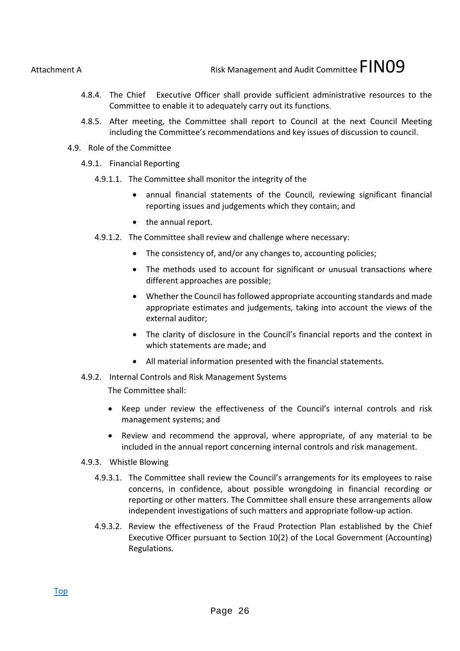Risk Management and Audit Committee  $\tt{FINO9}$ 

- 4.8.4. The Chief Executive Officer shall provide sufficient administrative resources to the Committee to enable it to adequately carry out its functions.
- 4.8.5. After meeting, the Committee shall report to Council at the next Council Meeting including the Committee's recommendations and key issues of discussion to council.
- 4.9. Role of the Committee
	- 4.9.1. Financial Reporting
		- 4.9.1.1. The Committee shall monitor the integrity of the
			- annual financial statements of the Council, reviewing significant financial reporting issues and judgements which they contain; and
			- the annual report.
		- 4.9.1.2. The Committee shall review and challenge where necessary:
			- The consistency of, and/or any changes to, accounting policies;
			- The methods used to account for significant or unusual transactions where different approaches are possible;
			- Whether the Council has followed appropriate accounting standards and made appropriate estimates and judgements, taking into account the views of the external auditor;
			- The clarity of disclosure in the Council's financial reports and the context in which statements are made; and
			- All material information presented with the financial statements.
	- 4.9.2. Internal Controls and Risk Management Systems

The Committee shall:

- Keep under review the effectiveness of the Council's internal controls and risk management systems; and
- Review and recommend the approval, where appropriate, of any material to be included in the annual report concerning internal controls and risk management.
- 4.9.3. Whistle Blowing
	- 4.9.3.1. The Committee shall review the Council's arrangements for its employees to raise concerns, in confidence, about possible wrongdoing in financial recording or reporting or other matters. The Committee shall ensure these arrangements allow independent investigations of such matters and appropriate follow‐up action.
	- 4.9.3.2. Review the effectiveness of the Fraud Protection Plan established by the Chief Executive Officer pursuant to Section 10(2) of the Local Government (Accounting) Regulations.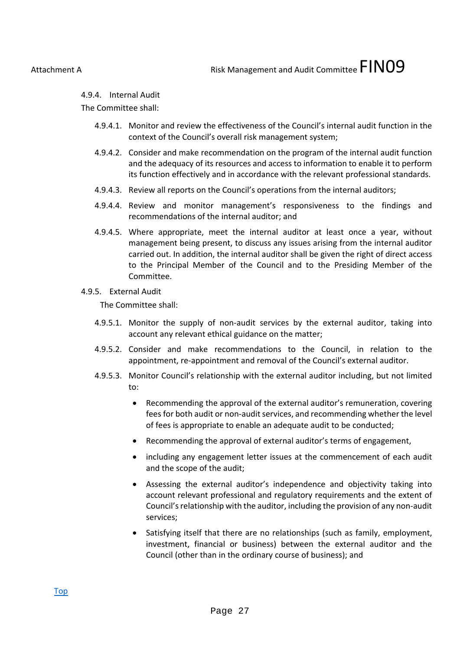4.9.4. Internal Audit

The Committee shall:

- 4.9.4.1. Monitor and review the effectiveness of the Council's internal audit function in the context of the Council's overall risk management system;
- 4.9.4.2. Consider and make recommendation on the program of the internal audit function and the adequacy of its resources and access to information to enable it to perform its function effectively and in accordance with the relevant professional standards.
- 4.9.4.3. Review all reports on the Council's operations from the internal auditors;
- 4.9.4.4. Review and monitor management's responsiveness to the findings and recommendations of the internal auditor; and
- 4.9.4.5. Where appropriate, meet the internal auditor at least once a year, without management being present, to discuss any issues arising from the internal auditor carried out. In addition, the internal auditor shall be given the right of direct access to the Principal Member of the Council and to the Presiding Member of the Committee.
- 4.9.5. External Audit

The Committee shall:

- 4.9.5.1. Monitor the supply of non-audit services by the external auditor, taking into account any relevant ethical guidance on the matter;
- 4.9.5.2. Consider and make recommendations to the Council, in relation to the appointment, re‐appointment and removal of the Council's external auditor.
- 4.9.5.3. Monitor Council's relationship with the external auditor including, but not limited to:
	- Recommending the approval of the external auditor's remuneration, covering fees for both audit or non‐audit services, and recommending whether the level of fees is appropriate to enable an adequate audit to be conducted;
	- Recommending the approval of external auditor's terms of engagement,
	- including any engagement letter issues at the commencement of each audit and the scope of the audit;
	- Assessing the external auditor's independence and objectivity taking into account relevant professional and regulatory requirements and the extent of Council's relationship with the auditor, including the provision of any non‐audit services;
	- Satisfying itself that there are no relationships (such as family, employment, investment, financial or business) between the external auditor and the Council (other than in the ordinary course of business); and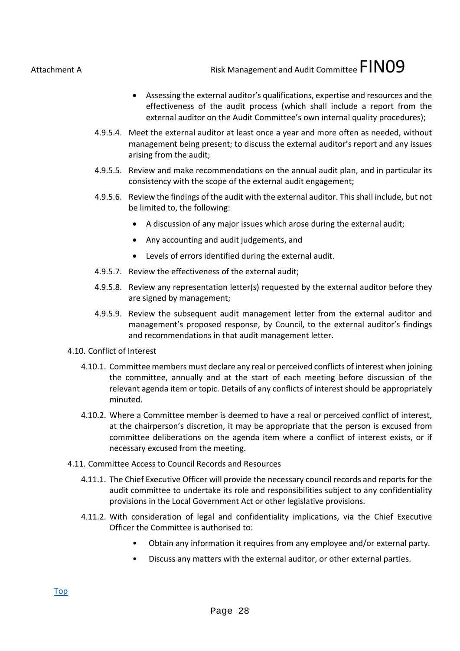Risk Management and Audit Committee  $\tt{FINO9}$ 

- Assessing the external auditor's qualifications, expertise and resources and the effectiveness of the audit process (which shall include a report from the external auditor on the Audit Committee's own internal quality procedures);
- 4.9.5.4. Meet the external auditor at least once a year and more often as needed, without management being present; to discuss the external auditor's report and any issues arising from the audit;
- 4.9.5.5. Review and make recommendations on the annual audit plan, and in particular its consistency with the scope of the external audit engagement;
- 4.9.5.6. Review the findings of the audit with the external auditor. This shall include, but not be limited to, the following:
	- A discussion of any major issues which arose during the external audit;
	- Any accounting and audit judgements, and
	- Levels of errors identified during the external audit.
- 4.9.5.7. Review the effectiveness of the external audit;
- 4.9.5.8. Review any representation letter(s) requested by the external auditor before they are signed by management;
- 4.9.5.9. Review the subsequent audit management letter from the external auditor and management's proposed response, by Council, to the external auditor's findings and recommendations in that audit management letter.
- 4.10. Conflict of Interest
	- 4.10.1. Committee members must declare any real or perceived conflicts of interest when joining the committee, annually and at the start of each meeting before discussion of the relevant agenda item or topic. Details of any conflicts of interest should be appropriately minuted.
	- 4.10.2. Where a Committee member is deemed to have a real or perceived conflict of interest, at the chairperson's discretion, it may be appropriate that the person is excused from committee deliberations on the agenda item where a conflict of interest exists, or if necessary excused from the meeting.
- 4.11. Committee Access to Council Records and Resources
	- 4.11.1. The Chief Executive Officer will provide the necessary council records and reports for the audit committee to undertake its role and responsibilities subject to any confidentiality provisions in the Local Government Act or other legislative provisions.
	- 4.11.2. With consideration of legal and confidentiality implications, via the Chief Executive Officer the Committee is authorised to:
		- Obtain any information it requires from any employee and/or external party.
		- Discuss any matters with the external auditor, or other external parties.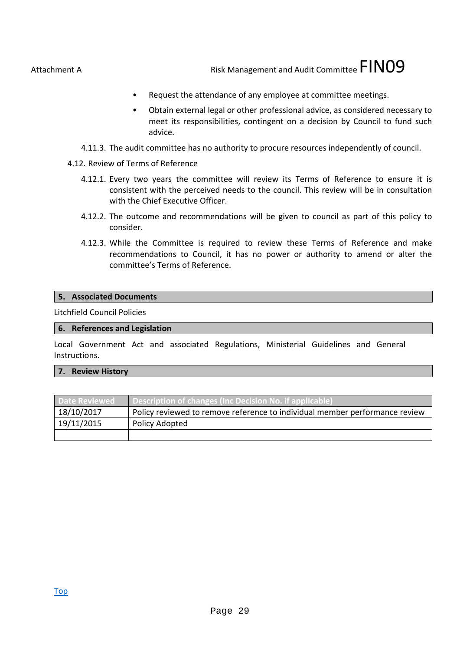Risk Management and Audit Committee  $\tt{FINO9}$ 

- Request the attendance of any employee at committee meetings.
- Obtain external legal or other professional advice, as considered necessary to meet its responsibilities, contingent on a decision by Council to fund such advice.
- 4.11.3. The audit committee has no authority to procure resources independently of council.
- 4.12. Review of Terms of Reference
	- 4.12.1. Every two years the committee will review its Terms of Reference to ensure it is consistent with the perceived needs to the council. This review will be in consultation with the Chief Executive Officer.
	- 4.12.2. The outcome and recommendations will be given to council as part of this policy to consider.
	- 4.12.3. While the Committee is required to review these Terms of Reference and make recommendations to Council, it has no power or authority to amend or alter the committee's Terms of Reference.

#### **5. Associated Documents**

Litchfield Council Policies

#### **6. References and Legislation**

Local Government Act and associated Regulations, Ministerial Guidelines and General Instructions.

#### **7. Review History**

| <b>Date Reviewed</b> | Description of changes (Inc Decision No. if applicable)                     |
|----------------------|-----------------------------------------------------------------------------|
| 18/10/2017           | Policy reviewed to remove reference to individual member performance review |
| 19/11/2015           | Policy Adopted                                                              |
|                      |                                                                             |